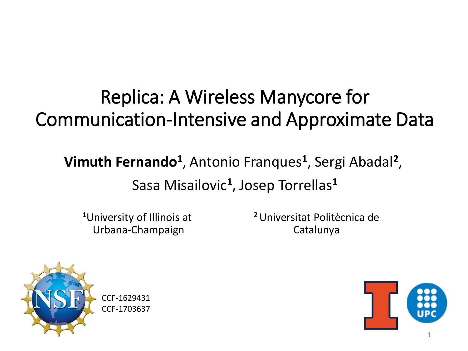#### Replica: A Wireless Manycore for Communication-Intensive and Approximate Data

#### **Vimuth Fernando<sup>1</sup>** , Antonio Franques**<sup>1</sup>** , Sergi Abadal**<sup>2</sup>** , Sasa Misailovic**<sup>1</sup>** , Josep Torrellas**<sup>1</sup>**

**<sup>1</sup>**University of Illinois at Urbana-Champaign

**<sup>2</sup>**Universitat Politècnica de Catalunya



CCF-1629431 CCF-1703637

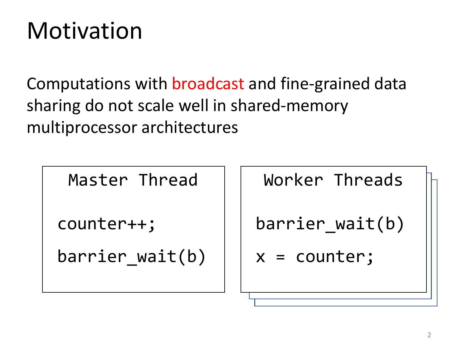### **Motivation**

Computations with broadcast and fine-grained data sharing do not scale well in shared-memory multiprocessor architectures

Master Thread

counter++;

barrier wait(b)

Worker Threads

```
barrier wait(b)
```

```
x = counter;
```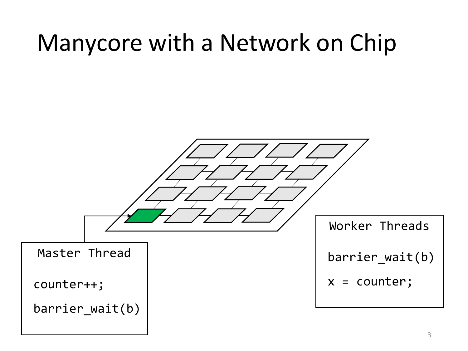### Manycore with a Network on Chip

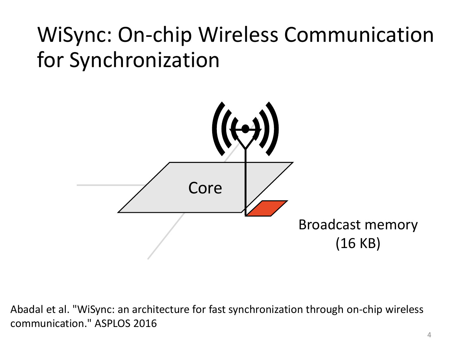

Abadal et al. "WiSync: an architecture for fast synchronization through on-chip wireless communication." ASPLOS 2016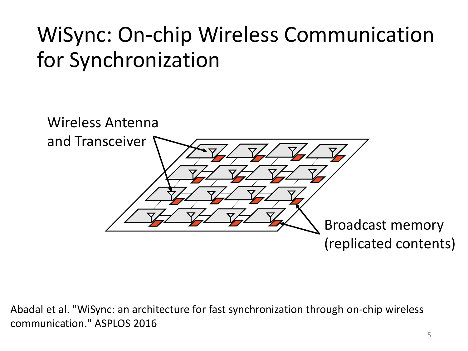

Abadal et al. "WiSync: an architecture for fast synchronization through on-chip wireless communication." ASPLOS 2016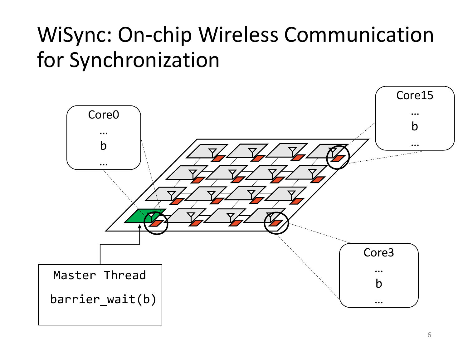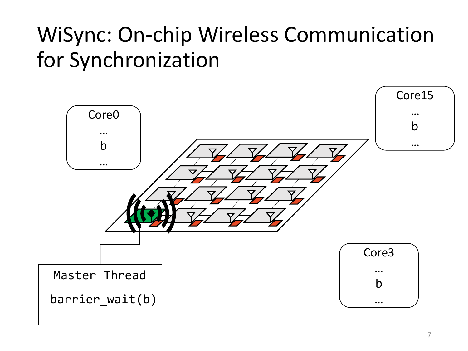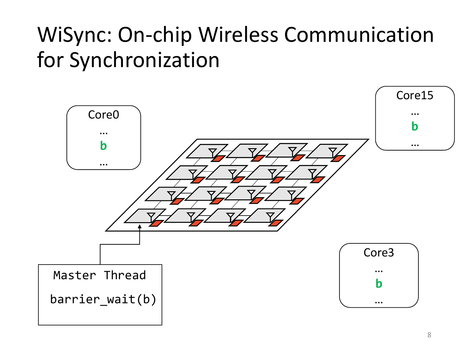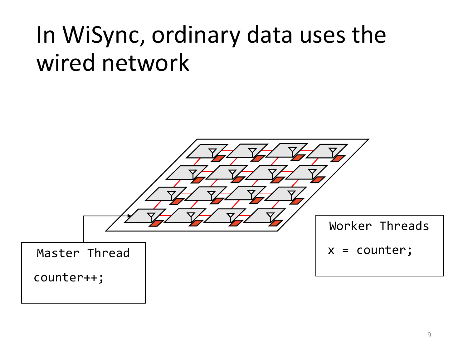### In WiSync, ordinary data uses the wired network

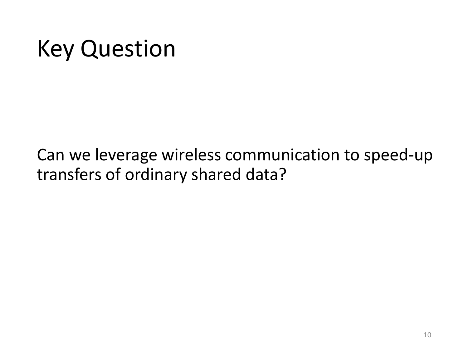### Key Question

Can we leverage wireless communication to speed-up transfers of ordinary shared data?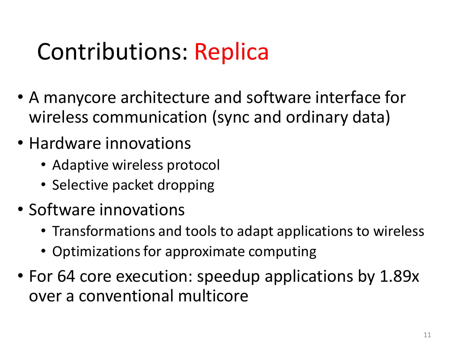### Contributions: Replica

- A manycore architecture and software interface for wireless communication (sync and ordinary data)
- Hardware innovations
	- Adaptive wireless protocol
	- Selective packet dropping
- Software innovations
	- Transformations and tools to adapt applications to wireless
	- Optimizations for approximate computing
- For 64 core execution: speedup applications by 1.89x over a conventional multicore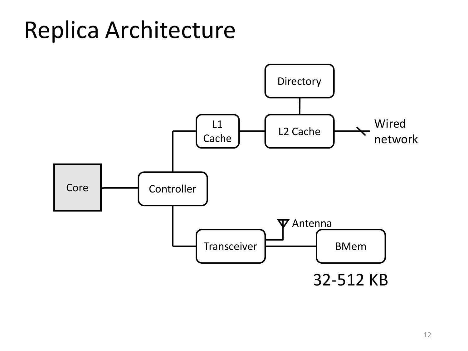### Replica Architecture

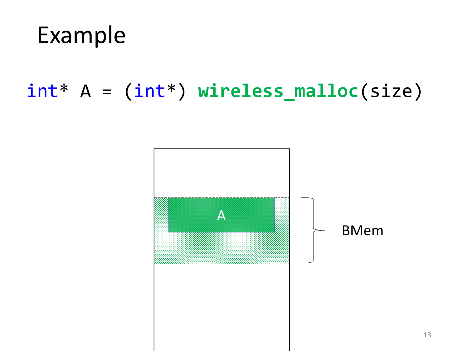

#### int\* A = (int\*) **wireless\_malloc**(size)

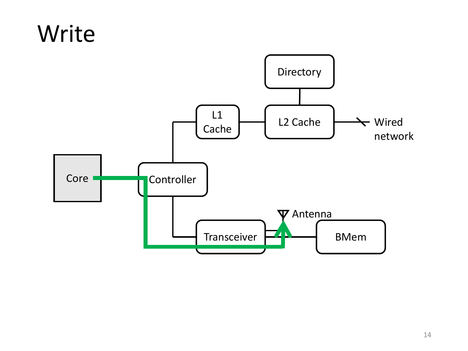#### Write

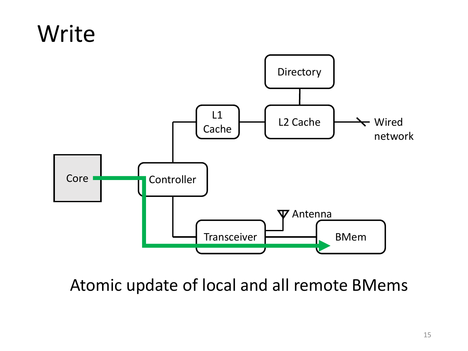#### Write



Atomic update of local and all remote BMems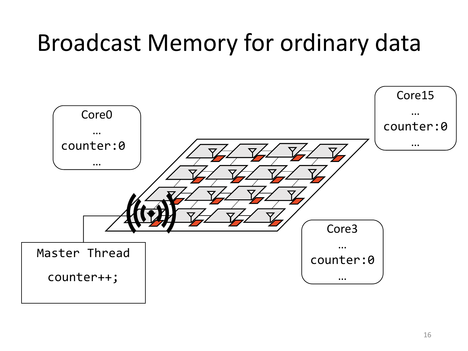### Broadcast Memory for ordinary data

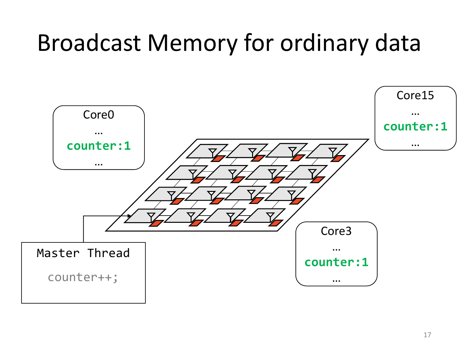### Broadcast Memory for ordinary data

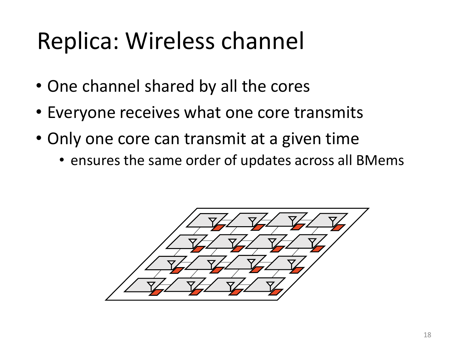### Replica: Wireless channel

- One channel shared by all the cores
- Everyone receives what one core transmits
- Only one core can transmit at a given time
	- ensures the same order of updates across all BMems

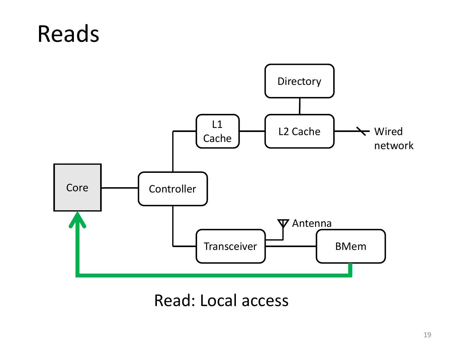#### Reads



Read: Local access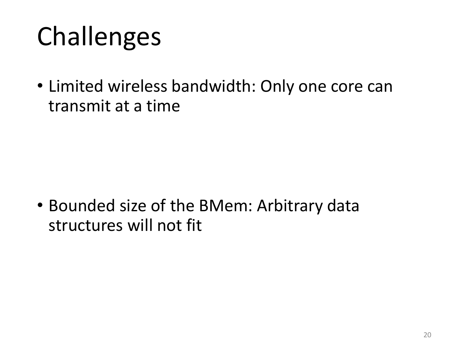# Challenges

• Limited wireless bandwidth: Only one core can transmit at a time

• Bounded size of the BMem: Arbitrary data structures will not fit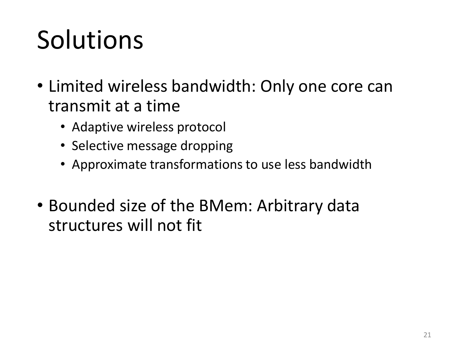# Solutions

- Limited wireless bandwidth: Only one core can transmit at a time
	- Adaptive wireless protocol
	- Selective message dropping
	- Approximate transformations to use less bandwidth
- Bounded size of the BMem: Arbitrary data structures will not fit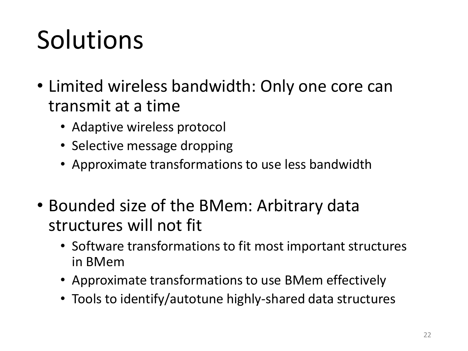# Solutions

- Limited wireless bandwidth: Only one core can transmit at a time
	- Adaptive wireless protocol
	- Selective message dropping
	- Approximate transformations to use less bandwidth
- Bounded size of the BMem: Arbitrary data structures will not fit
	- Software transformations to fit most important structures in BMem
	- Approximate transformations to use BMem effectively
	- Tools to identify/autotune highly-shared data structures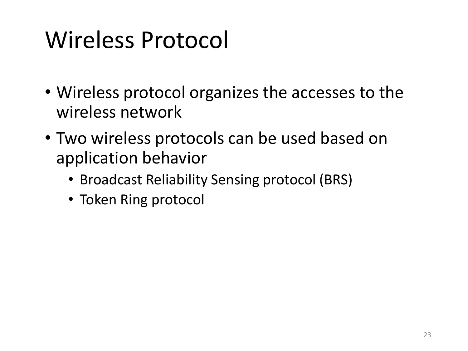### Wireless Protocol

- Wireless protocol organizes the accesses to the wireless network
- Two wireless protocols can be used based on application behavior
	- Broadcast Reliability Sensing protocol (BRS)
	- Token Ring protocol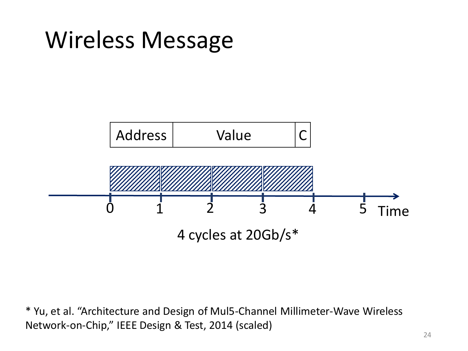### Wireless Message



\* Yu, et al. "Architecture and Design of Mul5-Channel Millimeter-Wave Wireless Network-on-Chip," IEEE Design & Test, 2014 (scaled)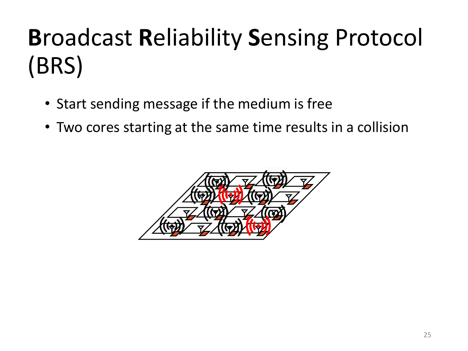- Start sending message if the medium is free
- Two cores starting at the same time results in a collision

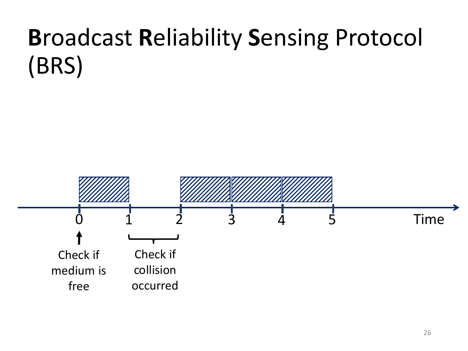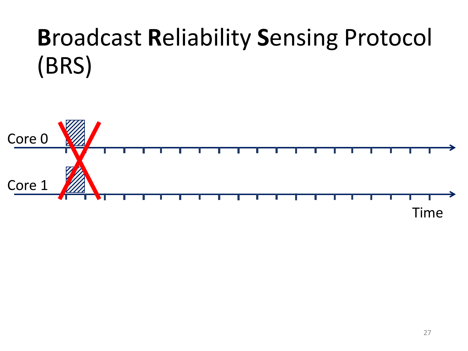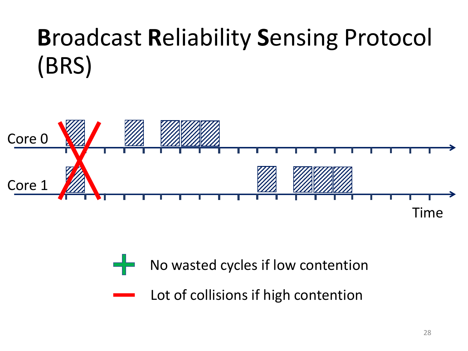

- No wasted cycles if low contention
	- Lot of collisions if high contention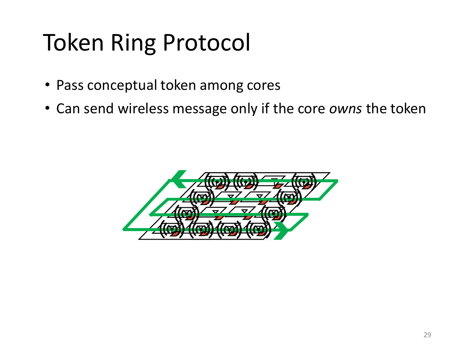## Token Ring Protocol

- Pass conceptual token among cores
- Can send wireless message only if the core *owns* the token

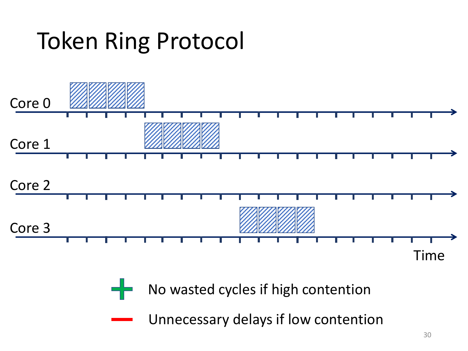### Token Ring Protocol

라는



No wasted cycles if high contention

Unnecessary delays if low contention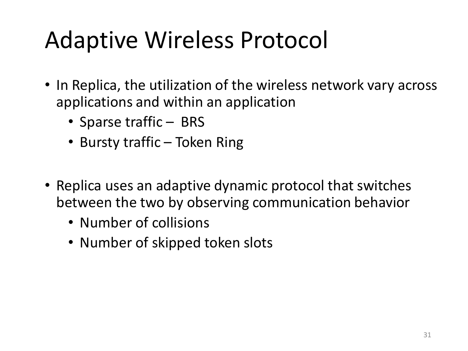### Adaptive Wireless Protocol

- In Replica, the utilization of the wireless network vary across applications and within an application
	- Sparse traffic BRS
	- Bursty traffic Token Ring
- Replica uses an adaptive dynamic protocol that switches between the two by observing communication behavior
	- Number of collisions
	- Number of skipped token slots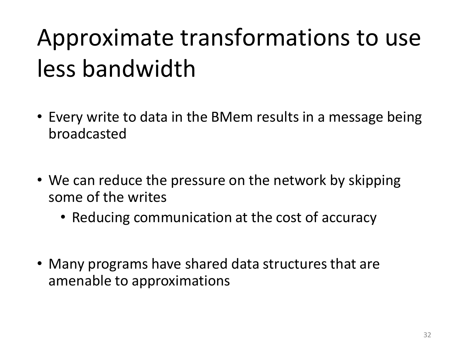# Approximate transformations to use less bandwidth

- Every write to data in the BMem results in a message being broadcasted
- We can reduce the pressure on the network by skipping some of the writes
	- Reducing communication at the cost of accuracy
- Many programs have shared data structures that are amenable to approximations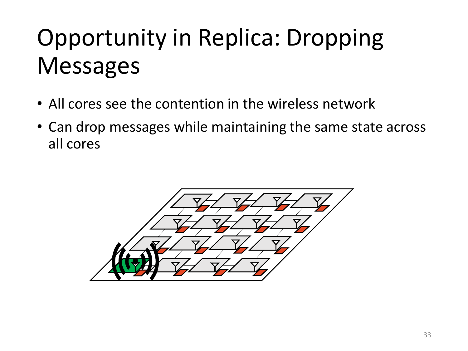## Opportunity in Replica: Dropping Messages

- All cores see the contention in the wireless network
- Can drop messages while maintaining the same state across all cores

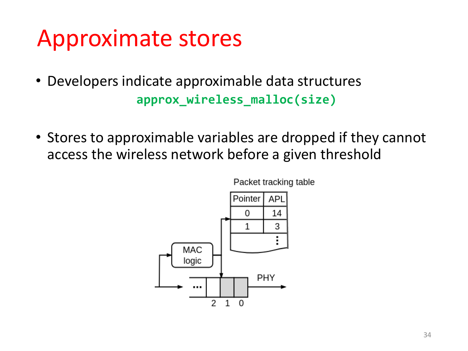#### Approximate stores

- Developers indicate approximable data structures **approx\_wireless\_malloc(size)**
- Stores to approximable variables are dropped if they cannot access the wireless network before a given threshold



Packet tracking table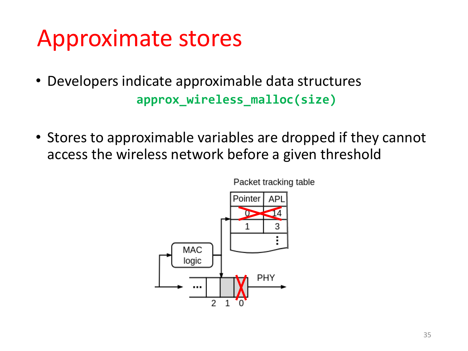#### Approximate stores

- Developers indicate approximable data structures **approx\_wireless\_malloc(size)**
- Stores to approximable variables are dropped if they cannot access the wireless network before a given threshold



Packet tracking table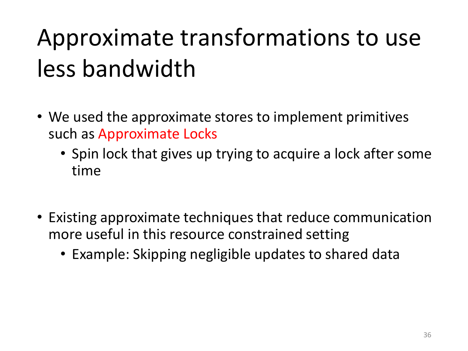# Approximate transformations to use less bandwidth

- We used the approximate stores to implement primitives such as Approximate Locks
	- Spin lock that gives up trying to acquire a lock after some time
- Existing approximate techniques that reduce communication more useful in this resource constrained setting
	- Example: Skipping negligible updates to shared data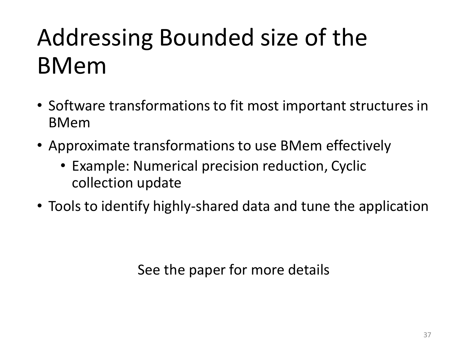### Addressing Bounded size of the BMem

- Software transformations to fit most important structures in BMem
- Approximate transformations to use BMem effectively
	- Example: Numerical precision reduction, Cyclic collection update
- Tools to identify highly-shared data and tune the application

See the paper for more details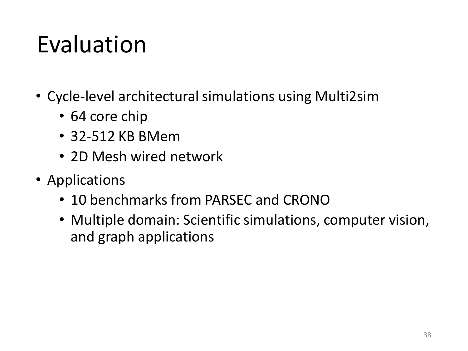### Evaluation

- Cycle-level architectural simulations using Multi2sim
	- 64 core chip
	- 32-512 KB BMem
	- 2D Mesh wired network
- Applications
	- 10 benchmarks from PARSEC and CRONO
	- Multiple domain: Scientific simulations, computer vision, and graph applications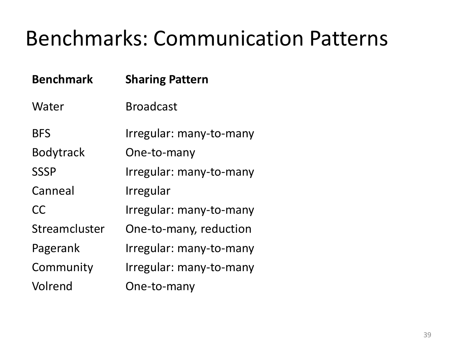#### Benchmarks: Communication Patterns

| <b>Benchmark</b> | <b>Sharing Pattern</b>  |
|------------------|-------------------------|
| Water            | <b>Broadcast</b>        |
| <b>BFS</b>       | Irregular: many-to-many |
| <b>Bodytrack</b> | One-to-many             |
| <b>SSSP</b>      | Irregular: many-to-many |
| Canneal          | Irregular               |
| CC               | Irregular: many-to-many |
| Streamcluster    | One-to-many, reduction  |
| Pagerank         | Irregular: many-to-many |
| Community        | Irregular: many-to-many |
| Volrend          | One-to-many             |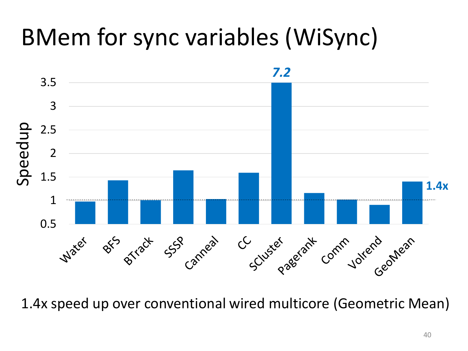### BMem for sync variables (WiSync)



1.4x speed up over conventional wired multicore (Geometric Mean)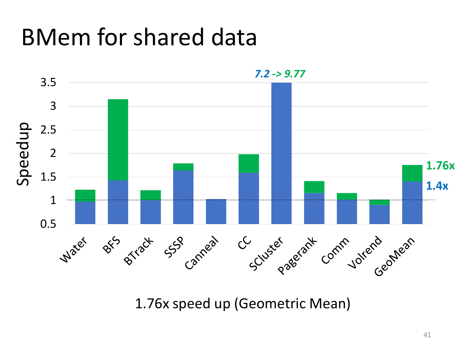### BMem for shared data



1.76x speed up (Geometric Mean)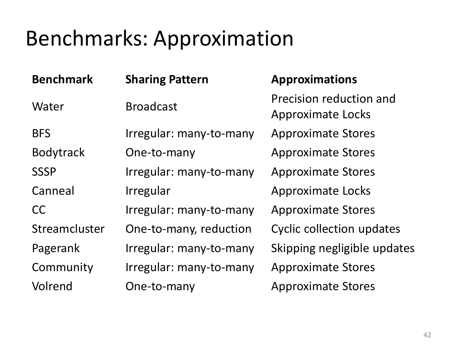#### Benchmarks: Approximation

| <b>Benchmark</b> | <b>Sharing Pattern</b>  | <b>Approximations</b>                               |
|------------------|-------------------------|-----------------------------------------------------|
| Water            | <b>Broadcast</b>        | Precision reduction and<br><b>Approximate Locks</b> |
| <b>BFS</b>       | Irregular: many-to-many | <b>Approximate Stores</b>                           |
| <b>Bodytrack</b> | One-to-many             | <b>Approximate Stores</b>                           |
| <b>SSSP</b>      | Irregular: many-to-many | <b>Approximate Stores</b>                           |
| Canneal          | Irregular               | <b>Approximate Locks</b>                            |
| <b>CC</b>        | Irregular: many-to-many | <b>Approximate Stores</b>                           |
| Streamcluster    | One-to-many, reduction  | <b>Cyclic collection updates</b>                    |
| Pagerank         | Irregular: many-to-many | Skipping negligible updates                         |
| Community        | Irregular: many-to-many | <b>Approximate Stores</b>                           |
| Volrend          | One-to-many             | <b>Approximate Stores</b>                           |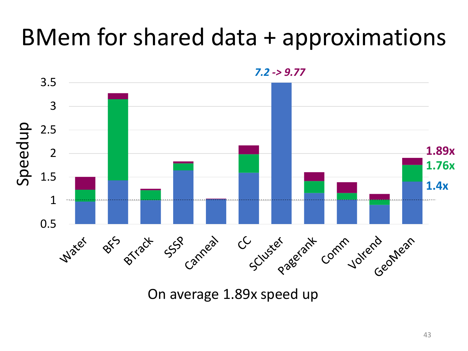### BMem for shared data + approximations



On average 1.89x speed up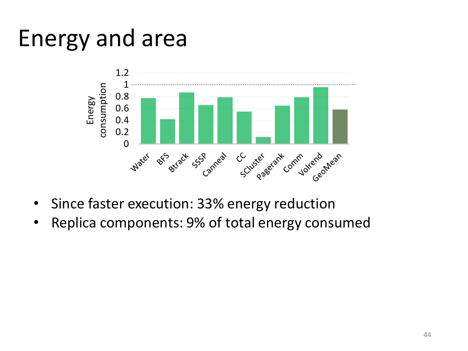#### Energy and area



- Since faster execution: 33% energy reduction
- Replica components: 9% of total energy consumed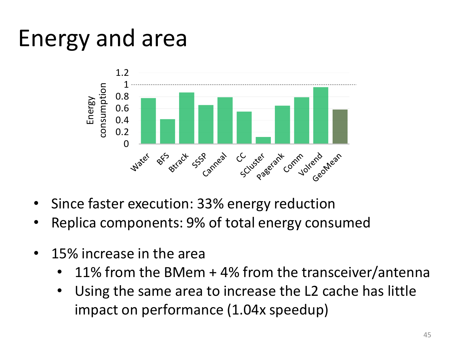#### Energy and area



- Since faster execution: 33% energy reduction
- Replica components: 9% of total energy consumed
- 15% increase in the area
	- 11% from the BMem  $+$  4% from the transceiver/antenna
	- Using the same area to increase the L2 cache has little impact on performance (1.04x speedup)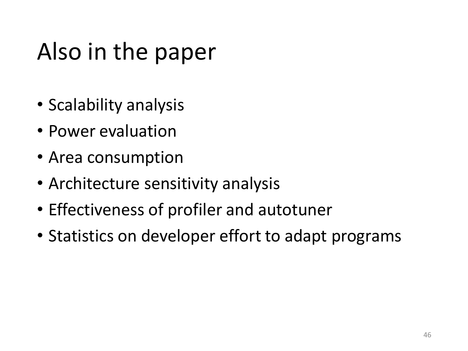### Also in the paper

- Scalability analysis
- Power evaluation
- Area consumption
- Architecture sensitivity analysis
- Effectiveness of profiler and autotuner
- Statistics on developer effort to adapt programs